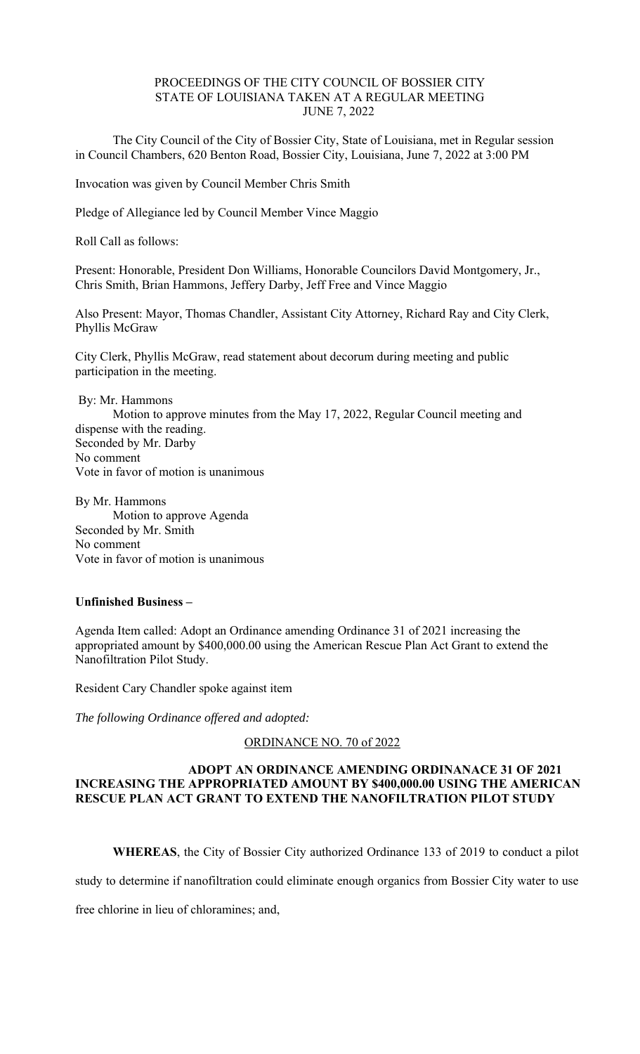## PROCEEDINGS OF THE CITY COUNCIL OF BOSSIER CITY STATE OF LOUISIANA TAKEN AT A REGULAR MEETING JUNE 7, 2022

 The City Council of the City of Bossier City, State of Louisiana, met in Regular session in Council Chambers, 620 Benton Road, Bossier City, Louisiana, June 7, 2022 at 3:00 PM

Invocation was given by Council Member Chris Smith

Pledge of Allegiance led by Council Member Vince Maggio

Roll Call as follows:

Present: Honorable, President Don Williams, Honorable Councilors David Montgomery, Jr., Chris Smith, Brian Hammons, Jeffery Darby, Jeff Free and Vince Maggio

Also Present: Mayor, Thomas Chandler, Assistant City Attorney, Richard Ray and City Clerk, Phyllis McGraw

City Clerk, Phyllis McGraw, read statement about decorum during meeting and public participation in the meeting.

 By: Mr. Hammons Motion to approve minutes from the May 17, 2022, Regular Council meeting and dispense with the reading. Seconded by Mr. Darby No comment Vote in favor of motion is unanimous

By Mr. Hammons Motion to approve Agenda Seconded by Mr. Smith No comment Vote in favor of motion is unanimous

## **Unfinished Business –**

Agenda Item called: Adopt an Ordinance amending Ordinance 31 of 2021 increasing the appropriated amount by \$400,000.00 using the American Rescue Plan Act Grant to extend the Nanofiltration Pilot Study.

Resident Cary Chandler spoke against item

*The following Ordinance offered and adopted:* 

ORDINANCE NO. 70 of 2022

### **ADOPT AN ORDINANCE AMENDING ORDINANACE 31 OF 2021 INCREASING THE APPROPRIATED AMOUNT BY \$400,000.00 USING THE AMERICAN RESCUE PLAN ACT GRANT TO EXTEND THE NANOFILTRATION PILOT STUDY**

**WHEREAS**, the City of Bossier City authorized Ordinance 133 of 2019 to conduct a pilot

study to determine if nanofiltration could eliminate enough organics from Bossier City water to use

free chlorine in lieu of chloramines; and,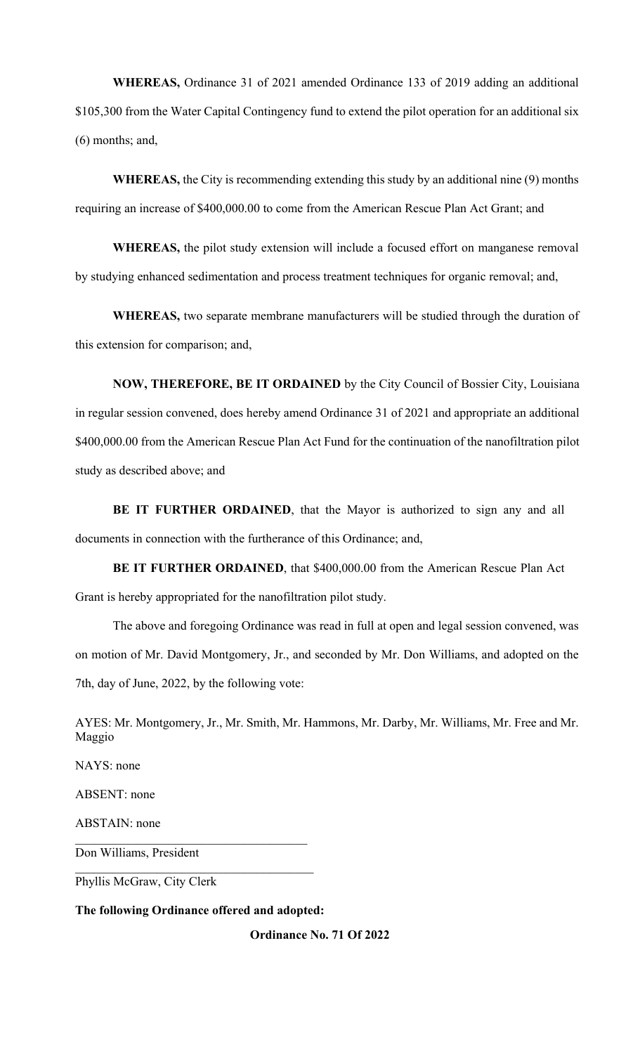**WHEREAS,** Ordinance 31 of 2021 amended Ordinance 133 of 2019 adding an additional \$105,300 from the Water Capital Contingency fund to extend the pilot operation for an additional six (6) months; and,

**WHEREAS,** the City is recommending extending this study by an additional nine (9) months requiring an increase of \$400,000.00 to come from the American Rescue Plan Act Grant; and

**WHEREAS,** the pilot study extension will include a focused effort on manganese removal by studying enhanced sedimentation and process treatment techniques for organic removal; and,

**WHEREAS,** two separate membrane manufacturers will be studied through the duration of this extension for comparison; and,

**NOW, THEREFORE, BE IT ORDAINED** by the City Council of Bossier City, Louisiana in regular session convened, does hereby amend Ordinance 31 of 2021 and appropriate an additional \$400,000.00 from the American Rescue Plan Act Fund for the continuation of the nanofiltration pilot study as described above; and

**BE IT FURTHER ORDAINED**, that the Mayor is authorized to sign any and all documents in connection with the furtherance of this Ordinance; and,

**BE IT FURTHER ORDAINED**, that \$400,000.00 from the American Rescue Plan Act Grant is hereby appropriated for the nanofiltration pilot study.

The above and foregoing Ordinance was read in full at open and legal session convened, was on motion of Mr. David Montgomery, Jr., and seconded by Mr. Don Williams, and adopted on the 7th, day of June, 2022, by the following vote:

AYES: Mr. Montgomery, Jr., Mr. Smith, Mr. Hammons, Mr. Darby, Mr. Williams, Mr. Free and Mr. Maggio

NAYS: none ABSENT: none ABSTAIN: none Don Williams, President

Phyllis McGraw, City Clerk

**The following Ordinance offered and adopted:** 

**Ordinance No. 71 Of 2022**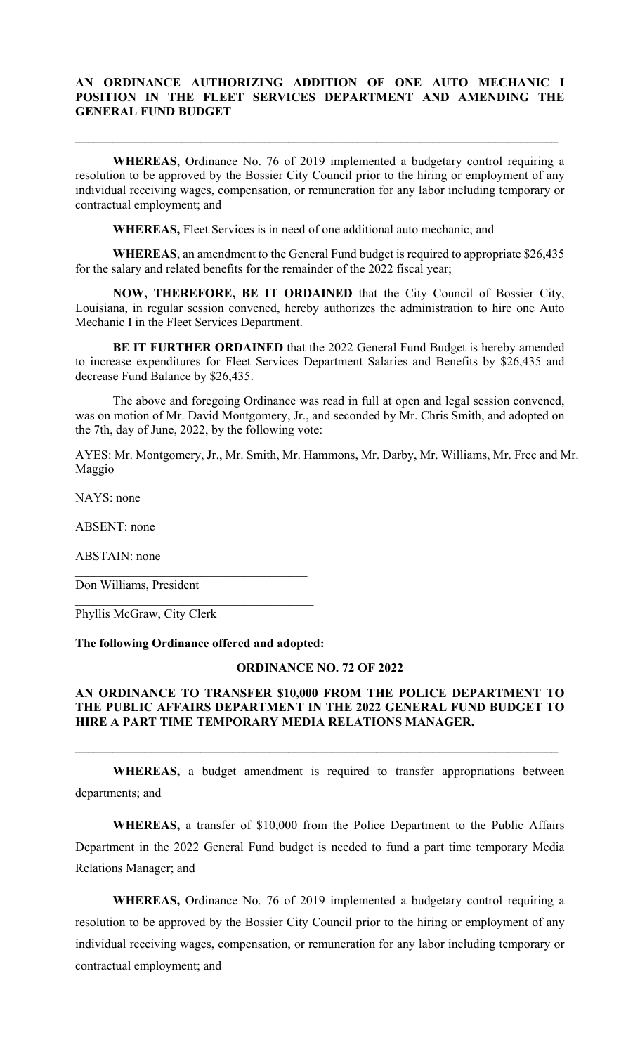## **AN ORDINANCE AUTHORIZING ADDITION OF ONE AUTO MECHANIC I POSITION IN THE FLEET SERVICES DEPARTMENT AND AMENDING THE GENERAL FUND BUDGET**

 $\mathcal{L}_\mathcal{L} = \{ \mathcal{L}_\mathcal{L} = \{ \mathcal{L}_\mathcal{L} = \{ \mathcal{L}_\mathcal{L} = \{ \mathcal{L}_\mathcal{L} = \{ \mathcal{L}_\mathcal{L} = \{ \mathcal{L}_\mathcal{L} = \{ \mathcal{L}_\mathcal{L} = \{ \mathcal{L}_\mathcal{L} = \{ \mathcal{L}_\mathcal{L} = \{ \mathcal{L}_\mathcal{L} = \{ \mathcal{L}_\mathcal{L} = \{ \mathcal{L}_\mathcal{L} = \{ \mathcal{L}_\mathcal{L} = \{ \mathcal{L}_\mathcal{$ 

**WHEREAS**, Ordinance No. 76 of 2019 implemented a budgetary control requiring a resolution to be approved by the Bossier City Council prior to the hiring or employment of any individual receiving wages, compensation, or remuneration for any labor including temporary or contractual employment; and

**WHEREAS,** Fleet Services is in need of one additional auto mechanic; and

**WHEREAS**, an amendment to the General Fund budget is required to appropriate \$26,435 for the salary and related benefits for the remainder of the 2022 fiscal year;

**NOW, THEREFORE, BE IT ORDAINED** that the City Council of Bossier City, Louisiana, in regular session convened, hereby authorizes the administration to hire one Auto Mechanic I in the Fleet Services Department.

**BE IT FURTHER ORDAINED** that the 2022 General Fund Budget is hereby amended to increase expenditures for Fleet Services Department Salaries and Benefits by \$26,435 and decrease Fund Balance by \$26,435.

 The above and foregoing Ordinance was read in full at open and legal session convened, was on motion of Mr. David Montgomery, Jr., and seconded by Mr. Chris Smith, and adopted on the 7th, day of June, 2022, by the following vote:

AYES: Mr. Montgomery, Jr., Mr. Smith, Mr. Hammons, Mr. Darby, Mr. Williams, Mr. Free and Mr. Maggio

NAYS: none

ABSENT: none

ABSTAIN: none

Don Williams, President

Phyllis McGraw, City Clerk

### **The following Ordinance offered and adopted:**

### **ORDINANCE NO. 72 OF 2022**

## **AN ORDINANCE TO TRANSFER \$10,000 FROM THE POLICE DEPARTMENT TO THE PUBLIC AFFAIRS DEPARTMENT IN THE 2022 GENERAL FUND BUDGET TO HIRE A PART TIME TEMPORARY MEDIA RELATIONS MANAGER.**

**WHEREAS,** a budget amendment is required to transfer appropriations between departments; and

 $\mathcal{L}_\mathcal{L} = \{ \mathcal{L}_\mathcal{L} = \{ \mathcal{L}_\mathcal{L} = \{ \mathcal{L}_\mathcal{L} = \{ \mathcal{L}_\mathcal{L} = \{ \mathcal{L}_\mathcal{L} = \{ \mathcal{L}_\mathcal{L} = \{ \mathcal{L}_\mathcal{L} = \{ \mathcal{L}_\mathcal{L} = \{ \mathcal{L}_\mathcal{L} = \{ \mathcal{L}_\mathcal{L} = \{ \mathcal{L}_\mathcal{L} = \{ \mathcal{L}_\mathcal{L} = \{ \mathcal{L}_\mathcal{L} = \{ \mathcal{L}_\mathcal{$ 

**WHEREAS,** a transfer of \$10,000 from the Police Department to the Public Affairs Department in the 2022 General Fund budget is needed to fund a part time temporary Media Relations Manager; and

**WHEREAS,** Ordinance No. 76 of 2019 implemented a budgetary control requiring a resolution to be approved by the Bossier City Council prior to the hiring or employment of any individual receiving wages, compensation, or remuneration for any labor including temporary or contractual employment; and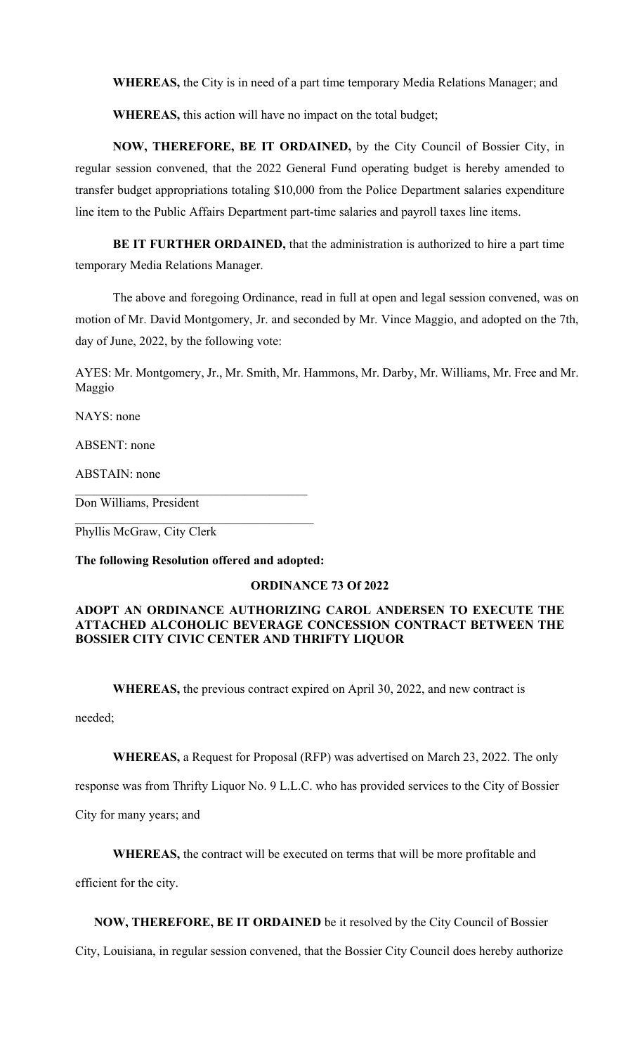**WHEREAS,** the City is in need of a part time temporary Media Relations Manager; and

**WHEREAS,** this action will have no impact on the total budget;

**NOW, THEREFORE, BE IT ORDAINED,** by the City Council of Bossier City, in regular session convened, that the 2022 General Fund operating budget is hereby amended to transfer budget appropriations totaling \$10,000 from the Police Department salaries expenditure line item to the Public Affairs Department part-time salaries and payroll taxes line items.

**BE IT FURTHER ORDAINED,** that the administration is authorized to hire a part time temporary Media Relations Manager.

The above and foregoing Ordinance, read in full at open and legal session convened, was on motion of Mr. David Montgomery, Jr. and seconded by Mr. Vince Maggio, and adopted on the 7th, day of June, 2022, by the following vote:

AYES: Mr. Montgomery, Jr., Mr. Smith, Mr. Hammons, Mr. Darby, Mr. Williams, Mr. Free and Mr. Maggio

NAYS: none

ABSENT: none

ABSTAIN: none

Don Williams, President

Phyllis McGraw, City Clerk

**The following Resolution offered and adopted:** 

## **ORDINANCE 73 Of 2022**

## **ADOPT AN ORDINANCE AUTHORIZING CAROL ANDERSEN TO EXECUTE THE ATTACHED ALCOHOLIC BEVERAGE CONCESSION CONTRACT BETWEEN THE BOSSIER CITY CIVIC CENTER AND THRIFTY LIQUOR**

**WHEREAS,** the previous contract expired on April 30, 2022, and new contract is

needed;

**WHEREAS,** a Request for Proposal (RFP) was advertised on March 23, 2022. The only

response was from Thrifty Liquor No. 9 L.L.C. who has provided services to the City of Bossier

City for many years; and

 **WHEREAS,** the contract will be executed on terms that will be more profitable and

efficient for the city.

 **NOW, THEREFORE, BE IT ORDAINED** be it resolved by the City Council of Bossier

City, Louisiana, in regular session convened, that the Bossier City Council does hereby authorize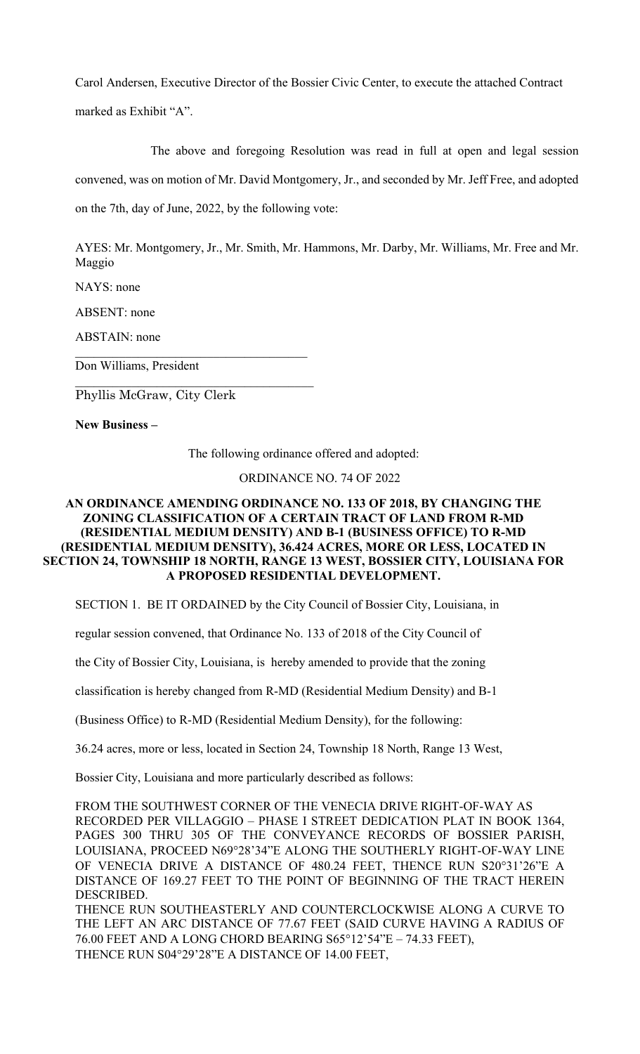Carol Andersen, Executive Director of the Bossier Civic Center, to execute the attached Contract marked as Exhibit "A".

 The above and foregoing Resolution was read in full at open and legal session convened, was on motion of Mr. David Montgomery, Jr., and seconded by Mr. Jeff Free, and adopted on the 7th, day of June, 2022, by the following vote:

AYES: Mr. Montgomery, Jr., Mr. Smith, Mr. Hammons, Mr. Darby, Mr. Williams, Mr. Free and Mr. Maggio

NAYS: none

ABSENT: none

ABSTAIN: none

Don Williams, President

Phyllis McGraw, City Clerk

**New Business –** 

The following ordinance offered and adopted:

## ORDINANCE NO. 74 OF 2022

## **AN ORDINANCE AMENDING ORDINANCE NO. 133 OF 2018, BY CHANGING THE ZONING CLASSIFICATION OF A CERTAIN TRACT OF LAND FROM R-MD (RESIDENTIAL MEDIUM DENSITY) AND B-1 (BUSINESS OFFICE) TO R-MD (RESIDENTIAL MEDIUM DENSITY), 36.424 ACRES, MORE OR LESS, LOCATED IN SECTION 24, TOWNSHIP 18 NORTH, RANGE 13 WEST, BOSSIER CITY, LOUISIANA FOR A PROPOSED RESIDENTIAL DEVELOPMENT.**

SECTION 1. BE IT ORDAINED by the City Council of Bossier City, Louisiana, in

regular session convened, that Ordinance No. 133 of 2018 of the City Council of

the City of Bossier City, Louisiana, is hereby amended to provide that the zoning

classification is hereby changed from R-MD (Residential Medium Density) and B-1

(Business Office) to R-MD (Residential Medium Density), for the following:

36.24 acres, more or less, located in Section 24, Township 18 North, Range 13 West,

Bossier City, Louisiana and more particularly described as follows:

FROM THE SOUTHWEST CORNER OF THE VENECIA DRIVE RIGHT-OF-WAY AS RECORDED PER VILLAGGIO – PHASE I STREET DEDICATION PLAT IN BOOK 1364, PAGES 300 THRU 305 OF THE CONVEYANCE RECORDS OF BOSSIER PARISH, LOUISIANA, PROCEED N69°28'34"E ALONG THE SOUTHERLY RIGHT-OF-WAY LINE OF VENECIA DRIVE A DISTANCE OF 480.24 FEET, THENCE RUN S2031'26"E A DISTANCE OF 169.27 FEET TO THE POINT OF BEGINNING OF THE TRACT HEREIN DESCRIBED. THENCE RUN SOUTHEASTERLY AND COUNTERCLOCKWISE ALONG A CURVE TO

THE LEFT AN ARC DISTANCE OF 77.67 FEET (SAID CURVE HAVING A RADIUS OF 76.00 FEET AND A LONG CHORD BEARING S6512'54"E – 74.33 FEET), THENCE RUN S04°29'28"E A DISTANCE OF 14.00 FEET,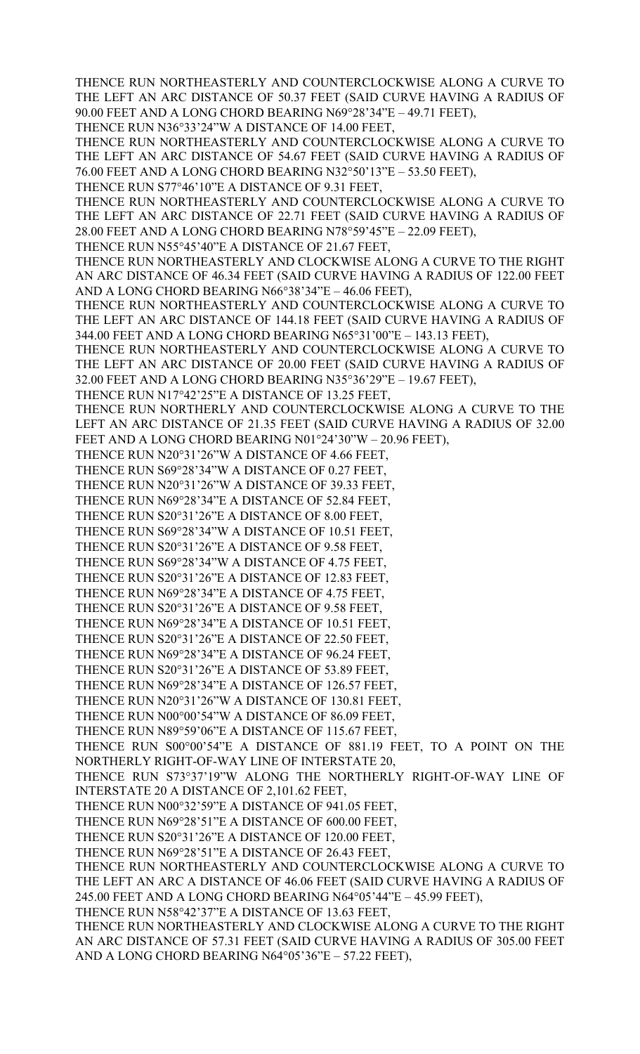THENCE RUN NORTHEASTERLY AND COUNTERCLOCKWISE ALONG A CURVE TO THE LEFT AN ARC DISTANCE OF 50.37 FEET (SAID CURVE HAVING A RADIUS OF 90.00 FEET AND A LONG CHORD BEARING N6928'34"E – 49.71 FEET),

THENCE RUN N36°33'24"W A DISTANCE OF 14.00 FEET,

THENCE RUN NORTHEASTERLY AND COUNTERCLOCKWISE ALONG A CURVE TO THE LEFT AN ARC DISTANCE OF 54.67 FEET (SAID CURVE HAVING A RADIUS OF 76.00 FEET AND A LONG CHORD BEARING N32°50'13"E - 53.50 FEET),

THENCE RUN S77°46'10"E A DISTANCE OF 9.31 FEET,

THENCE RUN NORTHEASTERLY AND COUNTERCLOCKWISE ALONG A CURVE TO THE LEFT AN ARC DISTANCE OF 22.71 FEET (SAID CURVE HAVING A RADIUS OF 28.00 FEET AND A LONG CHORD BEARING N78°59'45"E - 22.09 FEET),

THENCE RUN N55°45'40"E A DISTANCE OF 21.67 FEET,

THENCE RUN NORTHEASTERLY AND CLOCKWISE ALONG A CURVE TO THE RIGHT AN ARC DISTANCE OF 46.34 FEET (SAID CURVE HAVING A RADIUS OF 122.00 FEET AND A LONG CHORD BEARING N6638'34"E – 46.06 FEET),

THENCE RUN NORTHEASTERLY AND COUNTERCLOCKWISE ALONG A CURVE TO THE LEFT AN ARC DISTANCE OF 144.18 FEET (SAID CURVE HAVING A RADIUS OF 344.00 FEET AND A LONG CHORD BEARING N65°31'00"E - 143.13 FEET),

THENCE RUN NORTHEASTERLY AND COUNTERCLOCKWISE ALONG A CURVE TO THE LEFT AN ARC DISTANCE OF 20.00 FEET (SAID CURVE HAVING A RADIUS OF 32.00 FEET AND A LONG CHORD BEARING N3536'29"E – 19.67 FEET),

THENCE RUN N17°42'25"E A DISTANCE OF 13.25 FEET,

THENCE RUN NORTHERLY AND COUNTERCLOCKWISE ALONG A CURVE TO THE LEFT AN ARC DISTANCE OF 21.35 FEET (SAID CURVE HAVING A RADIUS OF 32.00 FEET AND A LONG CHORD BEARING N01°24'30"W - 20.96 FEET),

THENCE RUN N20°31'26"W A DISTANCE OF 4.66 FEET,

THENCE RUN S69°28'34"W A DISTANCE OF 0.27 FEET,

THENCE RUN N20°31'26"W A DISTANCE OF 39.33 FEET, THENCE RUN N69°28'34"E A DISTANCE OF 52.84 FEET,

THENCE RUN S20°31'26"E A DISTANCE OF 8.00 FEET,

THENCE RUN S69°28'34"W A DISTANCE OF 10.51 FEET,

THENCE RUN S2031'26"E A DISTANCE OF 9.58 FEET,

THENCE RUN S69°28'34"W A DISTANCE OF 4.75 FEET,

THENCE RUN S20°31'26"E A DISTANCE OF 12.83 FEET,

THENCE RUN N69°28'34"E A DISTANCE OF 4.75 FEET, THENCE RUN S20°31'26"E A DISTANCE OF 9.58 FEET,

THENCE RUN N69°28'34"E A DISTANCE OF 10.51 FEET,

THENCE RUN S20°31'26"E A DISTANCE OF 22.50 FEET,

THENCE RUN N69°28'34"E A DISTANCE OF 96.24 FEET,

THENCE RUN S20°31'26"E A DISTANCE OF 53.89 FEET,

THENCE RUN N69°28'34"E A DISTANCE OF 126.57 FEET,

THENCE RUN N20°31'26"W A DISTANCE OF 130.81 FEET,

THENCE RUN N00°00'54"W A DISTANCE OF 86.09 FEET,

THENCE RUN N89°59'06"E A DISTANCE OF 115.67 FEET,

THENCE RUN S00°00'54"E A DISTANCE OF 881.19 FEET, TO A POINT ON THE NORTHERLY RIGHT-OF-WAY LINE OF INTERSTATE 20,

THENCE RUN S73°37'19"W ALONG THE NORTHERLY RIGHT-OF-WAY LINE OF INTERSTATE 20 A DISTANCE OF 2,101.62 FEET,

THENCE RUN N00°32'59"E A DISTANCE OF 941.05 FEET,

THENCE RUN N69°28'51"E A DISTANCE OF 600.00 FEET,

THENCE RUN S20°31'26"E A DISTANCE OF 120.00 FEET,

THENCE RUN N69°28'51"E A DISTANCE OF 26.43 FEET,

THENCE RUN NORTHEASTERLY AND COUNTERCLOCKWISE ALONG A CURVE TO THE LEFT AN ARC A DISTANCE OF 46.06 FEET (SAID CURVE HAVING A RADIUS OF 245.00 FEET AND A LONG CHORD BEARING N64°05'44"E - 45.99 FEET),

THENCE RUN N58°42'37"E A DISTANCE OF 13.63 FEET,

THENCE RUN NORTHEASTERLY AND CLOCKWISE ALONG A CURVE TO THE RIGHT AN ARC DISTANCE OF 57.31 FEET (SAID CURVE HAVING A RADIUS OF 305.00 FEET AND A LONG CHORD BEARING N64°05'36"E - 57.22 FEET),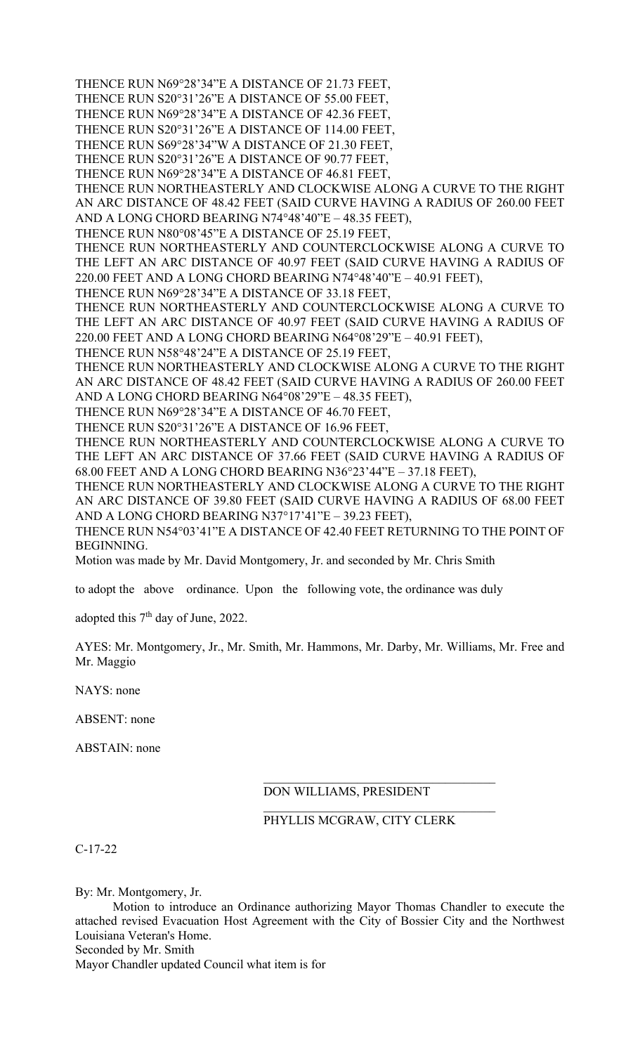THENCE RUN N69°28'34"E A DISTANCE OF 21.73 FEET,

THENCE RUN S20°31'26"E A DISTANCE OF 55.00 FEET,

THENCE RUN N69°28'34"E A DISTANCE OF 42.36 FEET,

THENCE RUN S20°31'26"E A DISTANCE OF 114.00 FEET, THENCE RUN S69°28'34"W A DISTANCE OF 21.30 FEET,

THENCE RUN S20°31'26"E A DISTANCE OF 90.77 FEET,

THENCE RUN N69°28'34"E A DISTANCE OF 46.81 FEET,

THENCE RUN NORTHEASTERLY AND CLOCKWISE ALONG A CURVE TO THE RIGHT AN ARC DISTANCE OF 48.42 FEET (SAID CURVE HAVING A RADIUS OF 260.00 FEET AND A LONG CHORD BEARING N74°48'40"E – 48.35 FEET),

THENCE RUN N80°08'45"E A DISTANCE OF 25.19 FEET,

THENCE RUN NORTHEASTERLY AND COUNTERCLOCKWISE ALONG A CURVE TO THE LEFT AN ARC DISTANCE OF 40.97 FEET (SAID CURVE HAVING A RADIUS OF 220.00 FEET AND A LONG CHORD BEARING N74 $\degree$ 48'40"E – 40.91 FEET),

THENCE RUN N69°28'34"E A DISTANCE OF 33.18 FEET,

THENCE RUN NORTHEASTERLY AND COUNTERCLOCKWISE ALONG A CURVE TO THE LEFT AN ARC DISTANCE OF 40.97 FEET (SAID CURVE HAVING A RADIUS OF 220.00 FEET AND A LONG CHORD BEARING N6408'29"E – 40.91 FEET),

THENCE RUN N58°48'24"E A DISTANCE OF 25.19 FEET,

THENCE RUN NORTHEASTERLY AND CLOCKWISE ALONG A CURVE TO THE RIGHT AN ARC DISTANCE OF 48.42 FEET (SAID CURVE HAVING A RADIUS OF 260.00 FEET AND A LONG CHORD BEARING N64°08'29"E - 48.35 FEET),

THENCE RUN N69°28'34"E A DISTANCE OF 46.70 FEET,

THENCE RUN S20°31'26"E A DISTANCE OF 16.96 FEET,

THENCE RUN NORTHEASTERLY AND COUNTERCLOCKWISE ALONG A CURVE TO THE LEFT AN ARC DISTANCE OF 37.66 FEET (SAID CURVE HAVING A RADIUS OF 68.00 FEET AND A LONG CHORD BEARING N3623'44"E – 37.18 FEET),

THENCE RUN NORTHEASTERLY AND CLOCKWISE ALONG A CURVE TO THE RIGHT AN ARC DISTANCE OF 39.80 FEET (SAID CURVE HAVING A RADIUS OF 68.00 FEET AND A LONG CHORD BEARING N37°17'41" $E - 39.23$  FEET),

THENCE RUN N54°03'41"E A DISTANCE OF 42.40 FEET RETURNING TO THE POINT OF BEGINNING.

Motion was made by Mr. David Montgomery, Jr. and seconded by Mr. Chris Smith

to adopt the above ordinance. Upon the following vote, the ordinance was duly

adopted this 7<sup>th</sup> day of June, 2022.

AYES: Mr. Montgomery, Jr., Mr. Smith, Mr. Hammons, Mr. Darby, Mr. Williams, Mr. Free and Mr. Maggio

NAYS: none

ABSENT: none

ABSTAIN: none

# DON WILLIAMS, PRESIDENT

# PHYLLIS MCGRAW, CITY CLERK

C-17-22

By: Mr. Montgomery, Jr.

 Motion to introduce an Ordinance authorizing Mayor Thomas Chandler to execute the attached revised Evacuation Host Agreement with the City of Bossier City and the Northwest Louisiana Veteran's Home. Seconded by Mr. Smith

Mayor Chandler updated Council what item is for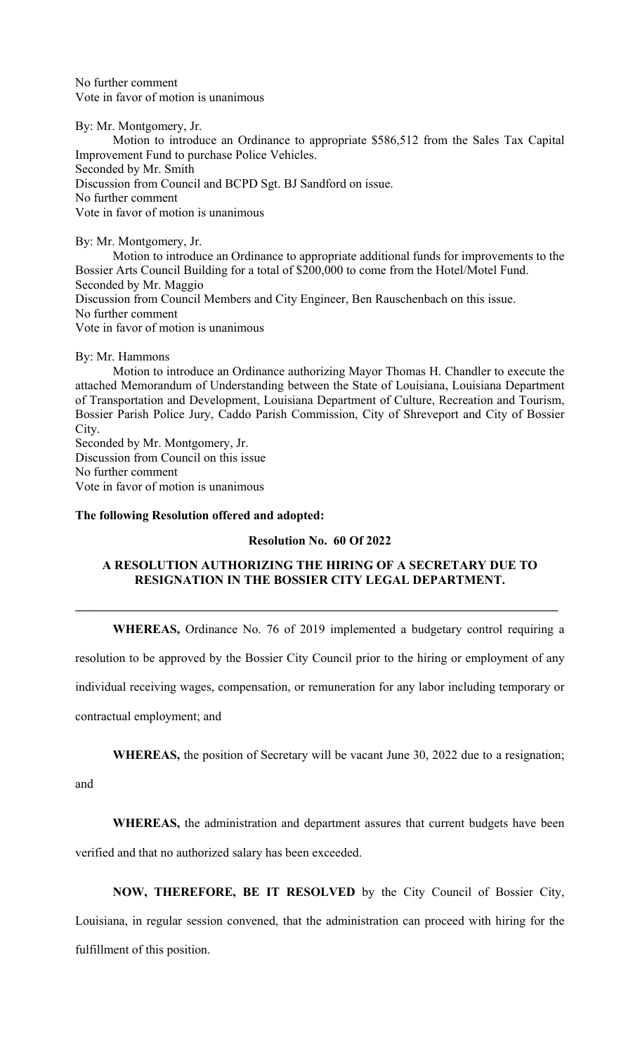No further comment Vote in favor of motion is unanimous

By: Mr. Montgomery, Jr. Motion to introduce an Ordinance to appropriate \$586,512 from the Sales Tax Capital Improvement Fund to purchase Police Vehicles. Seconded by Mr. Smith Discussion from Council and BCPD Sgt. BJ Sandford on issue. No further comment Vote in favor of motion is unanimous

By: Mr. Montgomery, Jr. Motion to introduce an Ordinance to appropriate additional funds for improvements to the Bossier Arts Council Building for a total of \$200,000 to come from the Hotel/Motel Fund. Seconded by Mr. Maggio Discussion from Council Members and City Engineer, Ben Rauschenbach on this issue. No further comment Vote in favor of motion is unanimous

By: Mr. Hammons

 Motion to introduce an Ordinance authorizing Mayor Thomas H. Chandler to execute the attached Memorandum of Understanding between the State of Louisiana, Louisiana Department of Transportation and Development, Louisiana Department of Culture, Recreation and Tourism, Bossier Parish Police Jury, Caddo Parish Commission, City of Shreveport and City of Bossier City.

Seconded by Mr. Montgomery, Jr. Discussion from Council on this issue No further comment Vote in favor of motion is unanimous

## **The following Resolution offered and adopted:**

#### **Resolution No. 60 Of 2022**

# **A RESOLUTION AUTHORIZING THE HIRING OF A SECRETARY DUE TO RESIGNATION IN THE BOSSIER CITY LEGAL DEPARTMENT.**

**\_\_\_\_\_\_\_\_\_\_\_\_\_\_\_\_\_\_\_\_\_\_\_\_\_\_\_\_\_\_\_\_\_\_\_\_\_\_\_\_\_\_\_\_\_\_\_\_\_\_\_\_\_\_\_\_\_\_\_\_\_\_\_\_\_\_\_\_\_\_\_\_\_\_\_\_\_** 

**WHEREAS,** Ordinance No. 76 of 2019 implemented a budgetary control requiring a

resolution to be approved by the Bossier City Council prior to the hiring or employment of any

individual receiving wages, compensation, or remuneration for any labor including temporary or

contractual employment; and

**WHEREAS,** the position of Secretary will be vacant June 30, 2022 due to a resignation;

and

**WHEREAS,** the administration and department assures that current budgets have been verified and that no authorized salary has been exceeded.

**NOW, THEREFORE, BE IT RESOLVED** by the City Council of Bossier City, Louisiana, in regular session convened, that the administration can proceed with hiring for the fulfillment of this position.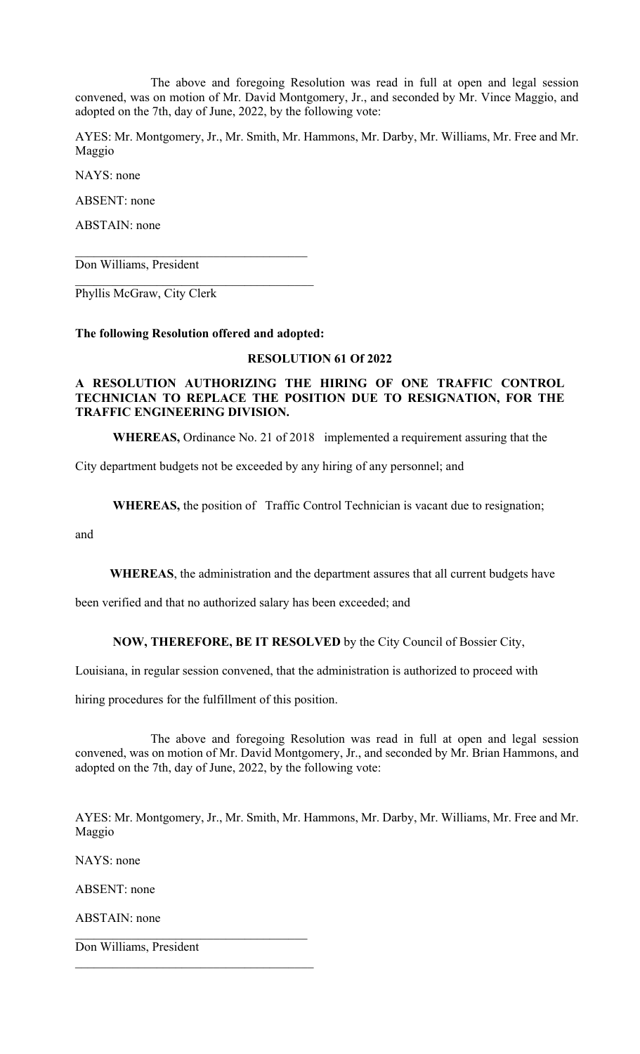The above and foregoing Resolution was read in full at open and legal session convened, was on motion of Mr. David Montgomery, Jr., and seconded by Mr. Vince Maggio, and adopted on the 7th, day of June, 2022, by the following vote:

AYES: Mr. Montgomery, Jr., Mr. Smith, Mr. Hammons, Mr. Darby, Mr. Williams, Mr. Free and Mr. Maggio

NAYS: none

ABSENT: none

ABSTAIN: none

Don Williams, President

Phyllis McGraw, City Clerk

### **The following Resolution offered and adopted:**

### **RESOLUTION 61 Of 2022**

## **A RESOLUTION AUTHORIZING THE HIRING OF ONE TRAFFIC CONTROL TECHNICIAN TO REPLACE THE POSITION DUE TO RESIGNATION, FOR THE TRAFFIC ENGINEERING DIVISION.**

**WHEREAS,** Ordinance No. 21 of 2018 implemented a requirement assuring that the

City department budgets not be exceeded by any hiring of any personnel; and

**WHEREAS,** the position of Traffic Control Technician is vacant due to resignation;

and

**WHEREAS**, the administration and the department assures that all current budgets have

been verified and that no authorized salary has been exceeded; and

**NOW, THEREFORE, BE IT RESOLVED** by the City Council of Bossier City,

Louisiana, in regular session convened, that the administration is authorized to proceed with

hiring procedures for the fulfillment of this position.

 The above and foregoing Resolution was read in full at open and legal session convened, was on motion of Mr. David Montgomery, Jr., and seconded by Mr. Brian Hammons, and adopted on the 7th, day of June, 2022, by the following vote:

AYES: Mr. Montgomery, Jr., Mr. Smith, Mr. Hammons, Mr. Darby, Mr. Williams, Mr. Free and Mr. Maggio

NAYS: none

ABSENT: none

ABSTAIN: none

Don Williams, President

\_\_\_\_\_\_\_\_\_\_\_\_\_\_\_\_\_\_\_\_\_\_\_\_\_\_\_\_\_\_\_\_\_\_\_\_\_\_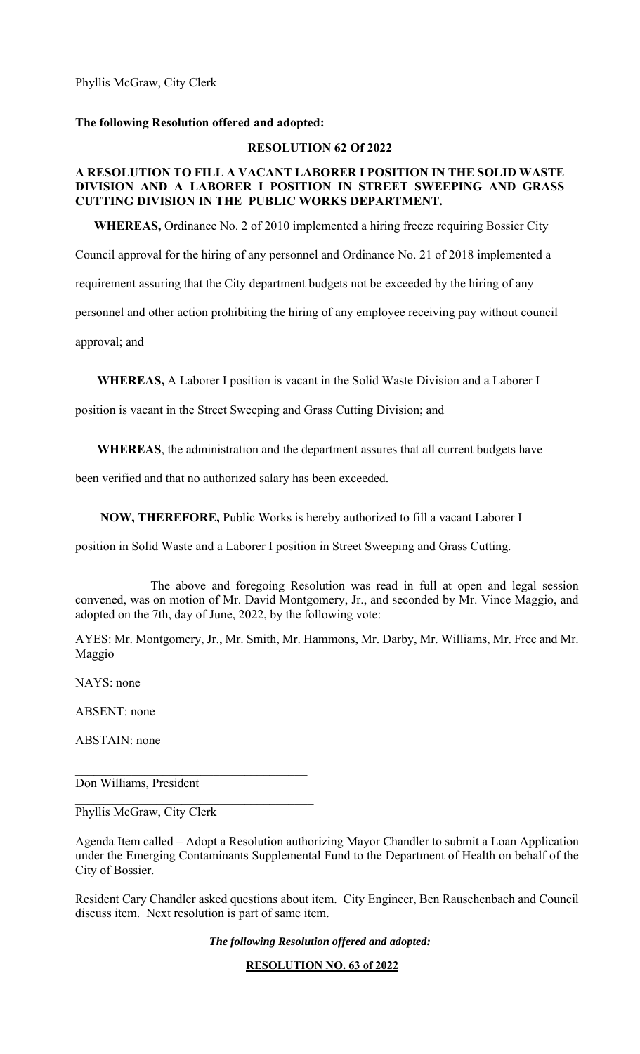Phyllis McGraw, City Clerk

## **The following Resolution offered and adopted:**

## **RESOLUTION 62 Of 2022**

## **A RESOLUTION TO FILL A VACANT LABORER I POSITION IN THE SOLID WASTE DIVISION AND A LABORER I POSITION IN STREET SWEEPING AND GRASS CUTTING DIVISION IN THE PUBLIC WORKS DEPARTMENT.**

 **WHEREAS,** Ordinance No. 2 of 2010 implemented a hiring freeze requiring Bossier City

Council approval for the hiring of any personnel and Ordinance No. 21 of 2018 implemented a

requirement assuring that the City department budgets not be exceeded by the hiring of any

personnel and other action prohibiting the hiring of any employee receiving pay without council

approval; and

 **WHEREAS,** A Laborer I position is vacant in the Solid Waste Division and a Laborer I

position is vacant in the Street Sweeping and Grass Cutting Division; and

 **WHEREAS**, the administration and the department assures that all current budgets have

been verified and that no authorized salary has been exceeded.

 **NOW, THEREFORE,** Public Works is hereby authorized to fill a vacant Laborer I

position in Solid Waste and a Laborer I position in Street Sweeping and Grass Cutting.

 The above and foregoing Resolution was read in full at open and legal session convened, was on motion of Mr. David Montgomery, Jr., and seconded by Mr. Vince Maggio, and adopted on the 7th, day of June, 2022, by the following vote:

AYES: Mr. Montgomery, Jr., Mr. Smith, Mr. Hammons, Mr. Darby, Mr. Williams, Mr. Free and Mr. Maggio

NAYS: none

ABSENT: none

ABSTAIN: none

Don Williams, President

Phyllis McGraw, City Clerk

Agenda Item called – Adopt a Resolution authorizing Mayor Chandler to submit a Loan Application under the Emerging Contaminants Supplemental Fund to the Department of Health on behalf of the City of Bossier.

Resident Cary Chandler asked questions about item. City Engineer, Ben Rauschenbach and Council discuss item. Next resolution is part of same item.

*The following Resolution offered and adopted:* 

**RESOLUTION NO. 63 of 2022**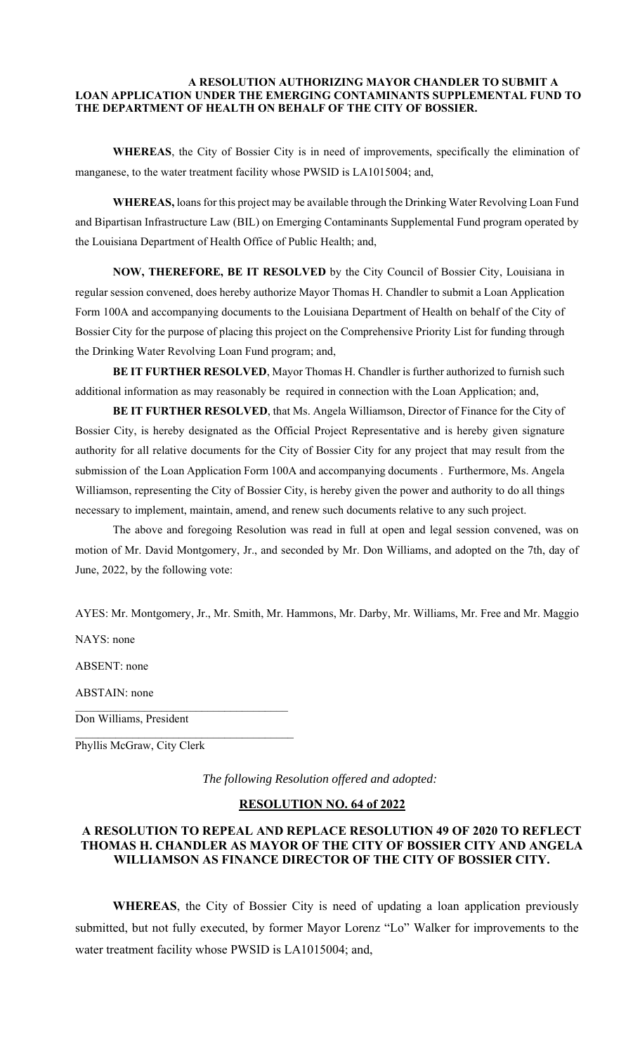#### **A RESOLUTION AUTHORIZING MAYOR CHANDLER TO SUBMIT A LOAN APPLICATION UNDER THE EMERGING CONTAMINANTS SUPPLEMENTAL FUND TO THE DEPARTMENT OF HEALTH ON BEHALF OF THE CITY OF BOSSIER.**

**WHEREAS**, the City of Bossier City is in need of improvements, specifically the elimination of manganese, to the water treatment facility whose PWSID is LA1015004; and,

**WHEREAS,** loans for this project may be available through the Drinking Water Revolving Loan Fund and Bipartisan Infrastructure Law (BIL) on Emerging Contaminants Supplemental Fund program operated by the Louisiana Department of Health Office of Public Health; and,

**NOW, THEREFORE, BE IT RESOLVED** by the City Council of Bossier City, Louisiana in regular session convened, does hereby authorize Mayor Thomas H. Chandler to submit a Loan Application Form 100A and accompanying documents to the Louisiana Department of Health on behalf of the City of Bossier City for the purpose of placing this project on the Comprehensive Priority List for funding through the Drinking Water Revolving Loan Fund program; and,

**BE IT FURTHER RESOLVED**, Mayor Thomas H. Chandler is further authorized to furnish such additional information as may reasonably be required in connection with the Loan Application; and,

**BE IT FURTHER RESOLVED**, that Ms. Angela Williamson, Director of Finance for the City of Bossier City, is hereby designated as the Official Project Representative and is hereby given signature authority for all relative documents for the City of Bossier City for any project that may result from the submission of the Loan Application Form 100A and accompanying documents . Furthermore, Ms. Angela Williamson, representing the City of Bossier City, is hereby given the power and authority to do all things necessary to implement, maintain, amend, and renew such documents relative to any such project.

The above and foregoing Resolution was read in full at open and legal session convened, was on motion of Mr. David Montgomery, Jr., and seconded by Mr. Don Williams, and adopted on the 7th, day of June, 2022, by the following vote:

AYES: Mr. Montgomery, Jr., Mr. Smith, Mr. Hammons, Mr. Darby, Mr. Williams, Mr. Free and Mr. Maggio

NAYS: none

ABSENT: none

ABSTAIN: none

 $\mathcal{L}_\text{max}$ Don Williams, President

Phyllis McGraw, City Clerk

*The following Resolution offered and adopted:* 

#### **RESOLUTION NO. 64 of 2022**

# **A RESOLUTION TO REPEAL AND REPLACE RESOLUTION 49 OF 2020 TO REFLECT THOMAS H. CHANDLER AS MAYOR OF THE CITY OF BOSSIER CITY AND ANGELA WILLIAMSON AS FINANCE DIRECTOR OF THE CITY OF BOSSIER CITY.**

**WHEREAS**, the City of Bossier City is need of updating a loan application previously submitted, but not fully executed, by former Mayor Lorenz "Lo" Walker for improvements to the water treatment facility whose PWSID is LA1015004; and,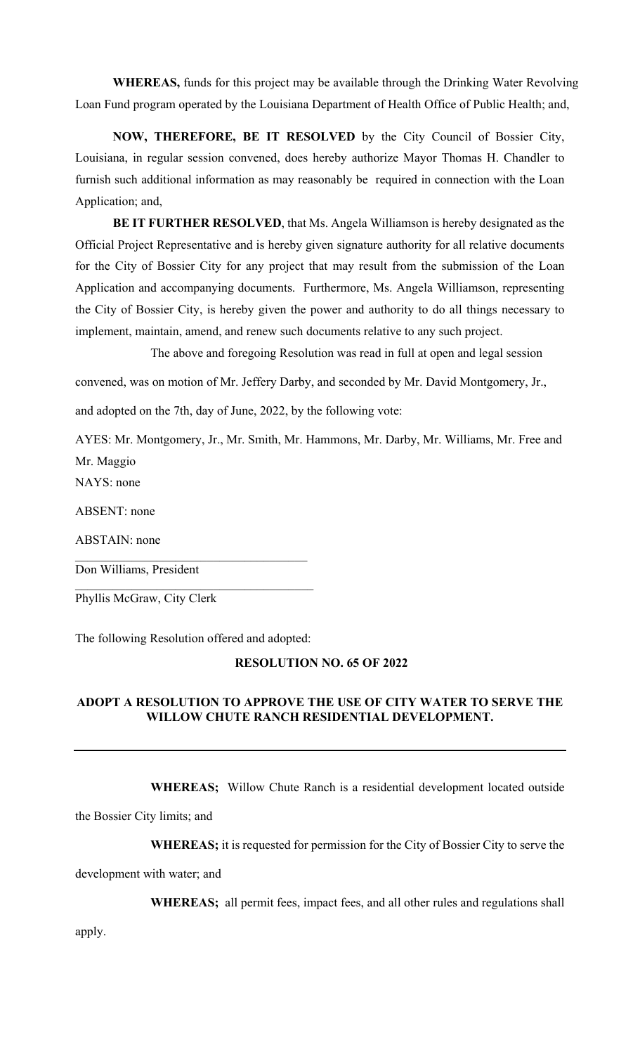**WHEREAS,** funds for this project may be available through the Drinking Water Revolving Loan Fund program operated by the Louisiana Department of Health Office of Public Health; and,

**NOW, THEREFORE, BE IT RESOLVED** by the City Council of Bossier City, Louisiana, in regular session convened, does hereby authorize Mayor Thomas H. Chandler to furnish such additional information as may reasonably be required in connection with the Loan Application; and,

**BE IT FURTHER RESOLVED**, that Ms. Angela Williamson is hereby designated as the Official Project Representative and is hereby given signature authority for all relative documents for the City of Bossier City for any project that may result from the submission of the Loan Application and accompanying documents. Furthermore, Ms. Angela Williamson, representing the City of Bossier City, is hereby given the power and authority to do all things necessary to implement, maintain, amend, and renew such documents relative to any such project.

The above and foregoing Resolution was read in full at open and legal session

convened, was on motion of Mr. Jeffery Darby, and seconded by Mr. David Montgomery, Jr.,

and adopted on the 7th, day of June, 2022, by the following vote:

AYES: Mr. Montgomery, Jr., Mr. Smith, Mr. Hammons, Mr. Darby, Mr. Williams, Mr. Free and Mr. Maggio

NAYS: none

ABSENT: none

ABSTAIN: none

Don Williams, President

Phyllis McGraw, City Clerk

The following Resolution offered and adopted:

### **RESOLUTION NO. 65 OF 2022**

## **ADOPT A RESOLUTION TO APPROVE THE USE OF CITY WATER TO SERVE THE WILLOW CHUTE RANCH RESIDENTIAL DEVELOPMENT.**

**WHEREAS;** Willow Chute Ranch is a residential development located outside

the Bossier City limits; and

**WHEREAS;** it is requested for permission for the City of Bossier City to serve the

development with water; and

**WHEREAS;** all permit fees, impact fees, and all other rules and regulations shall

apply.